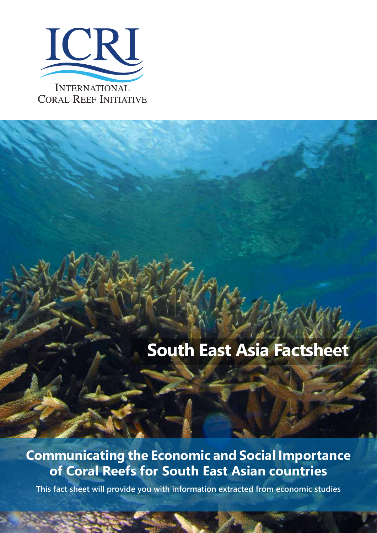

# **South East Asia Factsheet**

## **Communicating the Economic and Social Importance of Coral Reefs for South East Asian countries**

**This fact sheet will provide you with information extracted from economic studies**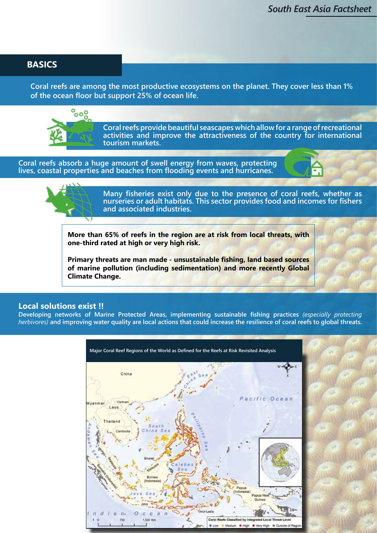#### **BASICS**

**Coral reefs are among the most productive ecosystems on the planet. They cover less than 1% of the ocean floor but support 25% of ocean life.**



**Coral reefs provide beautiful seascapes which allow for a range of recreational activities and improve the attractiveness of the country for international tourism markets.**

**Coral reefs absorb a huge amount of swell energy from waves, protecting lives, coastal properties and beaches from flooding events and hurricanes.**





**Many fisheries exist only due to the presence of coral reefs, whether as nurseries or adult habitats. This sector provides food and incomes for fishers and associated industries.**

**More than 65% of reefs in the region are at risk from local threats, with one-third rated at high or very high risk.**

**Primary threats are man made - unsustainable fishing, land based sources of marine pollution (including sedimentation) and more recently Global Climate Change.**

#### **Local solutions exist !!**

**Developing networks of Marine Protected Areas, implementing sustainable fishing practices** *(especially protecting herbivores)* **and improving water quality are local actions that could increase the resilience of coral reefs to global threats.** 

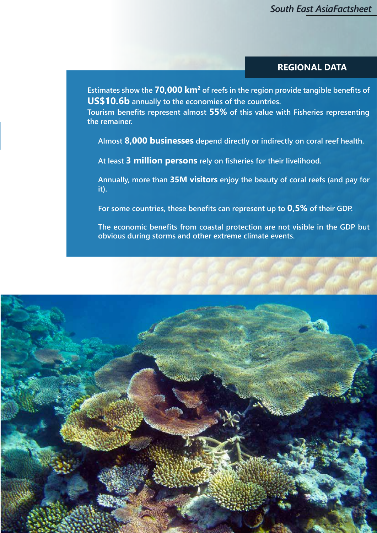#### **REGIONAL DATA**

**Estimates show the 70,000 km2 of reefs in the region provide tangible benefits of US\$10.6b annually to the economies of the countries.** 

**Tourism benefits represent almost 55% of this value with Fisheries representing the remainer.**

**Almost 8,000 businesses depend directly or indirectly on coral reef health.** 

**At least 3 million persons rely on fisheries for their livelihood.**

**Annually, more than 35M visitors enjoy the beauty of coral reefs (and pay for it).**

**For some countries, these benefits can represent up to 0,5% of their GDP.**

**The economic benefits from coastal protection are not visible in the GDP but obvious during storms and other extreme climate events.**

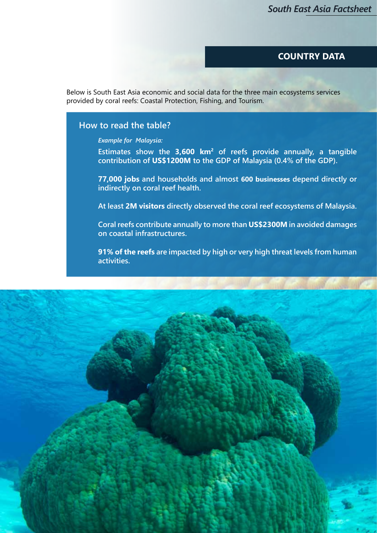#### **COUNTRY DATA**

Below is South East Asia economic and social data for the three main ecosystems services provided by coral reefs: Coastal Protection, Fishing, and Tourism.

#### **How to read the table?**

*Example for Malaysia:* 

**Estimates show the 3,600 km2 of reefs provide annually, a tangible contribution of US\$1200M to the GDP of Malaysia (0.4% of the GDP).**

**77,000 jobs and households and almost 600 businesses depend directly or indirectly on coral reef health.**

**At least 2M visitors directly observed the coral reef ecosystems of Malaysia.**

**Coral reefs contribute annually to more than US\$2300M in avoided damages on coastal infrastructures.** 

**91% of the reefs are impacted by high or very high threat levels from human activities.**

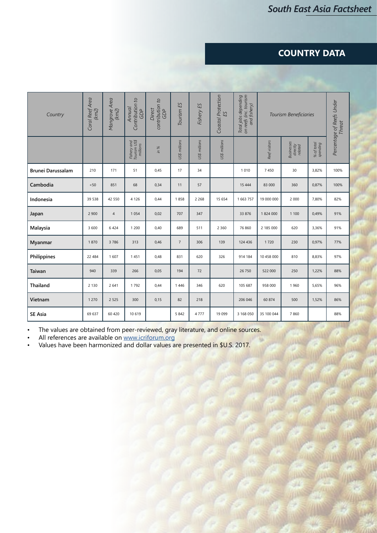### **COUNTRY DATA**

| Country                  | Coral Reef Area<br>(km2) | Mangrove Area<br>(km2) | Contribution to<br>Annual<br><b>GDP</b> | contribution to<br>GDP<br>Direct | Tourism ES     | Fishery ES    | Coastal Protection<br>ES | Total jobs depending<br>on reefs (inc. tourism<br>and fishery) | Tourism Beneficiaries |                                   |                        | Percentage of Reefs Under<br><b>Threat</b> |
|--------------------------|--------------------------|------------------------|-----------------------------------------|----------------------------------|----------------|---------------|--------------------------|----------------------------------------------------------------|-----------------------|-----------------------------------|------------------------|--------------------------------------------|
|                          |                          |                        | Fishery and<br>Tourism US\$<br>millions | in %                             | US\$ millions  | US\$ millions | US\$ millions            |                                                                | Reef visitors         | Businesses<br>directly<br>related | % of total<br>spending |                                            |
| <b>Brunei Darussalam</b> | 210                      | 171                    | 51                                      | 0,45                             | 17             | 34            |                          | 1010                                                           | 7450                  | 30                                | 3,82%                  | 100%                                       |
| Cambodia                 | < 50                     | 851                    | 68                                      | 0,34                             | 11             | 57            |                          | 15 4 44                                                        | 83 000                | 360                               | 0,87%                  | 100%                                       |
| Indonesia                | 39 538                   | 42 550                 | 4 1 2 6                                 | 0,44                             | 1858           | 2 2 6 8       | 15 654                   | 1 663 757                                                      | 19 000 000            | 2 0 0 0                           | 7,80%                  | 82%                                        |
| Japan                    | 2 900                    | $\overline{4}$         | 1 0 5 4                                 | 0,02                             | 707            | 347           |                          | 33 876                                                         | 1824 000              | 1 1 0 0                           | 0,49%                  | 91%                                        |
| Malaysia                 | 3 600                    | 6424                   | 1 200                                   | 0,40                             | 689            | 511           | 2 3 6 0                  | 76 860                                                         | 2 185 000             | 620                               | 3,36%                  | 91%                                        |
| Myanmar                  | 1870                     | 3786                   | 313                                     | 0,46                             | $\overline{7}$ | 306           | 139                      | 124 436                                                        | 1720                  | 230                               | 0,97%                  | 77%                                        |
| Philippines              | 22 484                   | 1607                   | 1451                                    | 0,48                             | 831            | 620           | 326                      | 914 184                                                        | 10 458 000            | 810                               | 8,83%                  | 97%                                        |
| Taiwan                   | 940                      | 339                    | 266                                     | 0,05                             | 194            | 72            |                          | 26 750                                                         | 522 000               | 250                               | 1,22%                  | 88%                                        |
| Thailand                 | 2 1 3 0                  | 2 6 4 1                | 1792                                    | 0,44                             | 1446           | 346           | 620                      | 105 687                                                        | 958 000               | 1960                              | 5,65%                  | 96%                                        |
| Vietnam                  | 1 2 7 0                  | 2 5 2 5                | 300                                     | 0,15                             | 82             | 218           |                          | 206 046                                                        | 60 874                | 500                               | 1,52%                  | 86%                                        |
| <b>SE Asia</b>           | 69 637                   | 60 420                 | 10 6 19                                 |                                  | 5842           | 4 7 7 7       | 19 099                   | 3 168 050                                                      | 35 100 044            | 7860                              |                        | 88%                                        |

• The values are obtained from peer-reviewed, gray literature, and online sources.

• All references are available on www.icriforum.org

• Values have been harmonized and dollar values are presented in \$U.S. 2017.